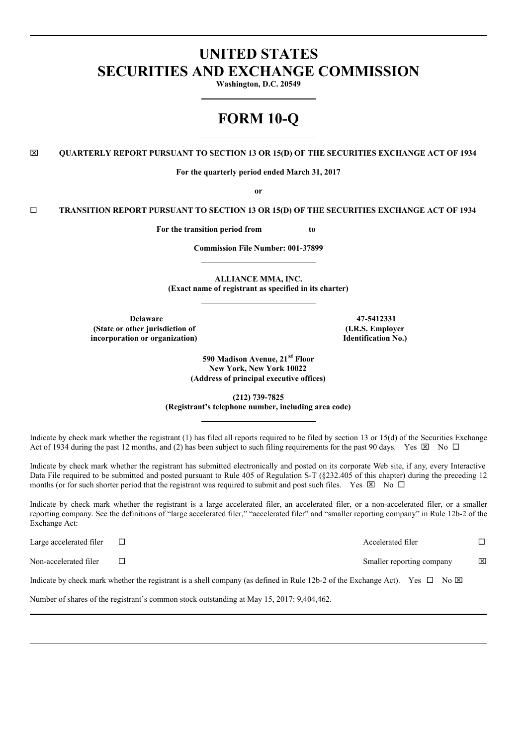# **UNITED STATES SECURITIES AND EXCHANGE COMMISSION**

**Washington, D.C. 20549**

# **FORM 10-Q**

x **QUARTERLY REPORT PURSUANT TO SECTION 13 OR 15(D) OF THE SECURITIES EXCHANGE ACT OF 1934**

**For the quarterly period ended March 31, 2017**

**or**

¨ **TRANSITION REPORT PURSUANT TO SECTION 13 OR 15(D) OF THE SECURITIES EXCHANGE ACT OF 1934**

**For the transition period from to**

**Commission File Number: 001-37899**

**ALLIANCE MMA, INC. (Exact name of registrant as specified in its charter)**

**Delaware 47-5412331 (State or other jurisdiction of incorporation or organization)**

**(I.R.S. Employer Identification No.)**

**590 Madison Avenue, 21 st Floor New York, New York 10022 (Address of principal executive offices)**

**(212) 739-7825**

**(Registrant's telephone number, including area code)**

Indicate by check mark whether the registrant (1) has filed all reports required to be filed by section 13 or 15(d) of the Securities Exchange Act of 1934 during the past 12 months, and (2) has been subject to such filing requirements for the past 90 days. Yes  $\boxtimes$  No  $\Box$ 

Indicate by check mark whether the registrant has submitted electronically and posted on its corporate Web site, if any, every Interactive Data File required to be submitted and posted pursuant to Rule 405 of Regulation S-T (§232.405 of this chapter) during the preceding 12 months (or for such shorter period that the registrant was required to submit and post such files. Yes  $\boxtimes$  No  $\Box$ 

Indicate by check mark whether the registrant is a large accelerated filer, an accelerated filer, or a non-accelerated filer, or a smaller reporting company. See the definitions of "large accelerated filer," "accelerated filer" and "smaller reporting company" in Rule 12b-2 of the Exchange Act:

Indicate by check mark whether the registrant is a shell company (as defined in Rule 12b-2 of the Exchange Act). Yes  $\Box$  No  $\boxtimes$ 

Number of shares of the registrant's common stock outstanding at May 15, 2017: 9,404,462.

Non-accelerated filer ¨ Smaller reporting company x

Large accelerated filer  $\Box$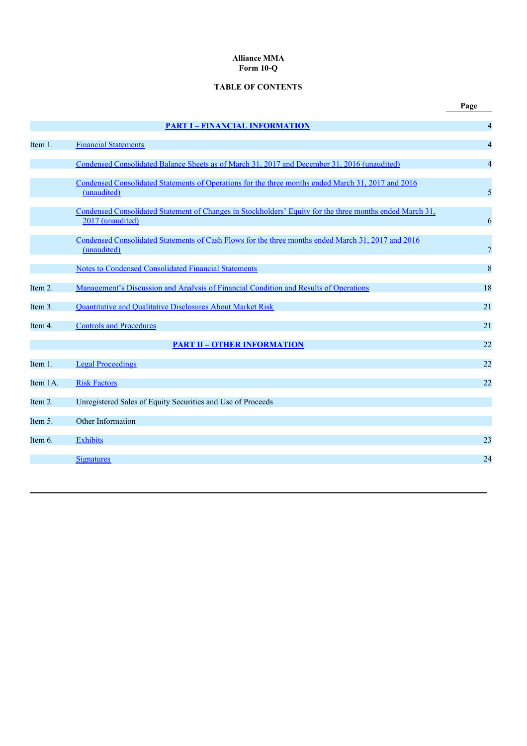# **Alliance MMA Form 10-Q**

# **TABLE OF CONTENTS**

|          |                                                                                                                              | Page           |
|----------|------------------------------------------------------------------------------------------------------------------------------|----------------|
|          | <b>PART I - FINANCIAL INFORMATION</b>                                                                                        | $\overline{4}$ |
| Item 1.  | <b>Financial Statements</b>                                                                                                  | $\overline{4}$ |
|          | Condensed Consolidated Balance Sheets as of March 31, 2017 and December 31, 2016 (unaudited)                                 | $\overline{4}$ |
|          | Condensed Consolidated Statements of Operations for the three months ended March 31, 2017 and 2016<br>(unaudited)            | 5              |
|          | Condensed Consolidated Statement of Changes in Stockholders' Equity for the three months ended March 31,<br>2017 (unaudited) | 6              |
|          | Condensed Consolidated Statements of Cash Flows for the three months ended March 31, 2017 and 2016<br>(unaudited)            | $\overline{7}$ |
|          | <b>Notes to Condensed Consolidated Financial Statements</b>                                                                  | 8              |
| Item 2.  | Management's Discussion and Analysis of Financial Condition and Results of Operations                                        | 18             |
| Item 3.  | Quantitative and Qualitative Disclosures About Market Risk                                                                   | 21             |
| Item 4.  | <b>Controls and Procedures</b>                                                                                               | 21             |
|          | <b>PART II - OTHER INFORMATION</b>                                                                                           | 22             |
| Item 1.  | <b>Legal Proceedings</b>                                                                                                     | 22             |
| Item 1A. | <b>Risk Factors</b>                                                                                                          | 22             |
| Item 2.  | Unregistered Sales of Equity Securities and Use of Proceeds                                                                  |                |
| Item 5.  | Other Information                                                                                                            |                |
| Item 6.  | <b>Exhibits</b>                                                                                                              | 23             |
|          | <b>Signatures</b>                                                                                                            | 24             |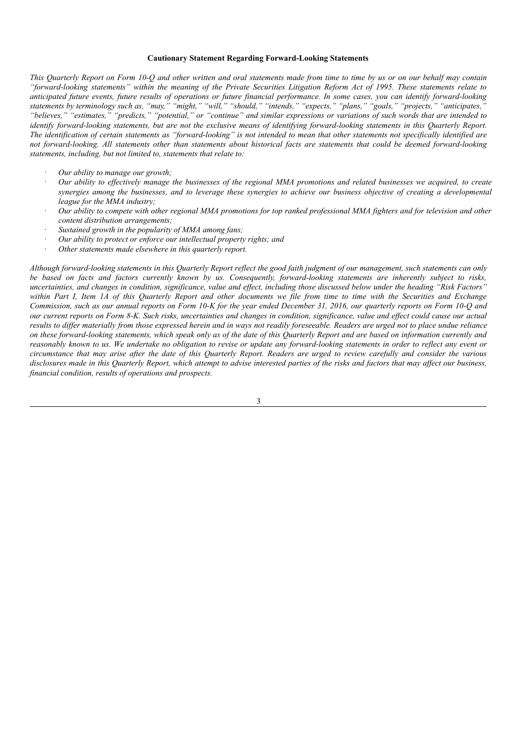#### **Cautionary Statement Regarding Forward-Looking Statements**

This Quarterly Report on Form 10-Q and other written and oral statements made from time to time by us or on our behalf may contain "forward-looking statements" within the meaning of the Private Securities Litigation Reform Act of 1995. These statements relate to anticipated future events, future results of operations or future financial performance. In some cases, you can identify forward-looking statements by terminology such as, "may," "might," "will," "should," "intends," "expects," "plans," "goals," "projects," "anticipates," "believes," "estimates," "predicts," "potential," or "continue" and similar expressions or variations of such words that are intended to identify forward-looking statements, but are not the exclusive means of identifying forward-looking statements in this Quarterly Report. The identification of certain statements as "forward-looking" is not intended to mean that other statements not specifically identified are not forward-looking. All statements other than statements about historical facts are statements that could be deemed forward-looking *statements, including, but not limited to, statements that relate to:*

- · *Our ability to manage our growth;*
- Our ability to effectively manage the businesses of the regional MMA promotions and related businesses we acquired, to create synergies among the businesses, and to leverage these synergies to achieve our business objective of creating a developmental *league for the MMA industry;*
- Our ability to compete with other regional MMA promotions for top ranked professional MMA fighters and for television and other *content distribution arrangements;*
- · *Sustained growth in the popularity of MMA among fans;*
- · *Our ability to protect or enforce our intellectual property rights; and*
- · *Other statements made elsewhere in this quarterly report.*

Although forward-looking statements in this Quarterly Report reflect the good faith judgment of our management, such statements can only be based on facts and factors currently known by us. Consequently, forward-looking statements are inherently subject to risks, uncertainties, and changes in condition, significance, value and effect, including those discussed below under the heading "Risk Factors" within Part I, Item 1A of this Quarterly Report and other documents we file from time to time with the Securities and Exchange Commission, such as our annual reports on Form 10-K for the year ended December 31, 2016, our quarterly reports on Form 10-O and our current reports on Form 8-K. Such risks, uncertainties and changes in condition, significance, value and effect could cause our actual results to differ materially from those expressed herein and in ways not readily foreseeable. Readers are urged not to place undue reliance on these forward-looking statements, which speak only as of the date of this Quarterly Report and are based on information currently and reasonably known to us. We undertake no obligation to revise or update any forward-looking statements in order to reflect any event or circumstance that may arise after the date of this Quarterly Report. Readers are urged to review carefully and consider the various disclosures made in this Quarterly Report, which attempt to advise interested parties of the risks and factors that may affect our business, *financial condition, results of operations and prospects.*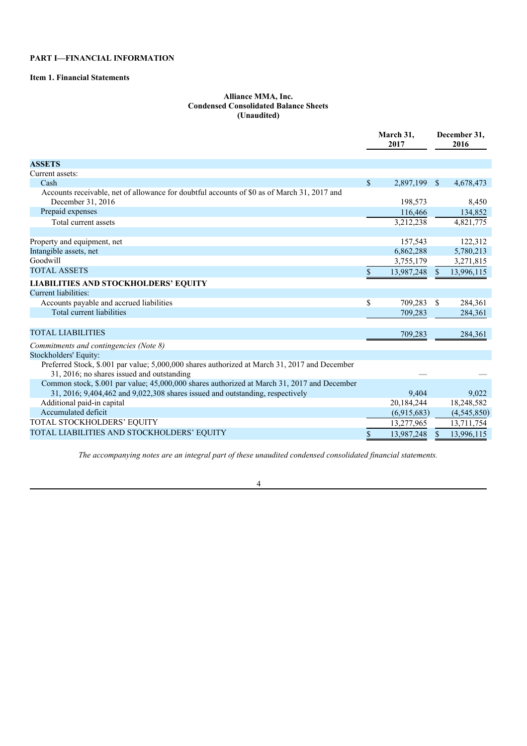# **PART I—FINANCIAL INFORMATION**

# **Item 1. Financial Statements**

# **Alliance MMA, Inc. Condensed Consolidated Balance Sheets (Unaudited)**

|                                                                                                                                             | March 31,<br>2017 |             |               | December 31,<br>2016 |  |
|---------------------------------------------------------------------------------------------------------------------------------------------|-------------------|-------------|---------------|----------------------|--|
| <b>ASSETS</b>                                                                                                                               |                   |             |               |                      |  |
| Current assets:                                                                                                                             |                   |             |               |                      |  |
| Cash                                                                                                                                        | $\mathsf{\$}$     | 2,897,199   | $\mathcal{S}$ | 4,678,473            |  |
| Accounts receivable, net of allowance for doubtful accounts of \$0 as of March 31, 2017 and<br>December 31, 2016                            |                   | 198,573     |               | 8,450                |  |
| Prepaid expenses                                                                                                                            |                   | 116,466     |               | 134,852              |  |
| Total current assets                                                                                                                        |                   | 3,212,238   |               | 4,821,775            |  |
|                                                                                                                                             |                   |             |               |                      |  |
| Property and equipment, net                                                                                                                 |                   | 157,543     |               | 122,312              |  |
| Intangible assets, net                                                                                                                      |                   | 6,862,288   |               | 5,780,213            |  |
| Goodwill                                                                                                                                    |                   | 3,755,179   |               | 3,271,815            |  |
| <b>TOTAL ASSETS</b>                                                                                                                         |                   | 13,987,248  | <sup>S</sup>  | 13,996,115           |  |
| <b>LIABILITIES AND STOCKHOLDERS' EQUITY</b>                                                                                                 |                   |             |               |                      |  |
| Current liabilities:                                                                                                                        |                   |             |               |                      |  |
| Accounts payable and accrued liabilities                                                                                                    | \$                | 709,283     | -S            | 284,361              |  |
| Total current liabilities                                                                                                                   |                   | 709,283     |               | 284,361              |  |
|                                                                                                                                             |                   |             |               |                      |  |
| <b>TOTAL LIABILITIES</b>                                                                                                                    |                   | 709,283     |               | 284,361              |  |
| Commitments and contingencies (Note 8)                                                                                                      |                   |             |               |                      |  |
| Stockholders' Equity:                                                                                                                       |                   |             |               |                      |  |
| Preferred Stock, \$.001 par value; 5,000,000 shares authorized at March 31, 2017 and December<br>31, 2016; no shares issued and outstanding |                   |             |               |                      |  |
| Common stock, \$.001 par value; 45,000,000 shares authorized at March 31, 2017 and December                                                 |                   |             |               |                      |  |
| 31, 2016; 9,404,462 and 9,022,308 shares issued and outstanding, respectively                                                               |                   | 9.404       |               | 9.022                |  |
| Additional paid-in capital                                                                                                                  |                   | 20,184,244  |               | 18,248,582           |  |
| Accumulated deficit                                                                                                                         |                   | (6,915,683) |               | (4,545,850)          |  |
| TOTAL STOCKHOLDERS' EQUITY                                                                                                                  |                   | 13,277,965  |               | 13,711,754           |  |
| TOTAL LIABILITIES AND STOCKHOLDERS' EQUITY                                                                                                  | \$                | 13,987,248  | \$            | 13,996,115           |  |

*The accompanying notes are an integral part of these unaudited condensed consolidated financial statements.*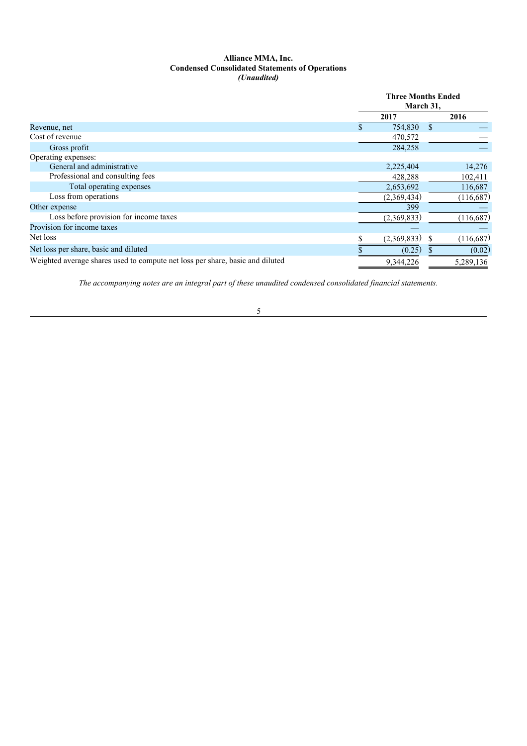# **Alliance MMA, Inc. Condensed Consolidated Statements of Operations** *(Unaudited)*

|                                                                               | <b>Three Months Ended</b><br>March 31, |             |     |            |
|-------------------------------------------------------------------------------|----------------------------------------|-------------|-----|------------|
|                                                                               |                                        | 2017        |     | 2016       |
| Revenue, net                                                                  |                                        | 754,830     | \$. |            |
| Cost of revenue                                                               |                                        | 470,572     |     |            |
| Gross profit                                                                  |                                        | 284,258     |     |            |
| Operating expenses:                                                           |                                        |             |     |            |
| General and administrative                                                    |                                        | 2,225,404   |     | 14,276     |
| Professional and consulting fees                                              |                                        | 428,288     |     | 102,411    |
| Total operating expenses                                                      |                                        | 2,653,692   |     | 116,687    |
| Loss from operations                                                          |                                        | (2,369,434) |     | (116,687)  |
| Other expense                                                                 |                                        | 399         |     |            |
| Loss before provision for income taxes                                        |                                        | (2,369,833) |     | (116, 687) |
| Provision for income taxes                                                    |                                        |             |     |            |
| Net loss                                                                      |                                        | (2,369,833) |     | (116, 687) |
| Net loss per share, basic and diluted                                         |                                        | (0.25)      |     | (0.02)     |
| Weighted average shares used to compute net loss per share, basic and diluted |                                        | 9,344,226   |     | 5,289,136  |

*The accompanying notes are an integral part of these unaudited condensed consolidated financial statements.*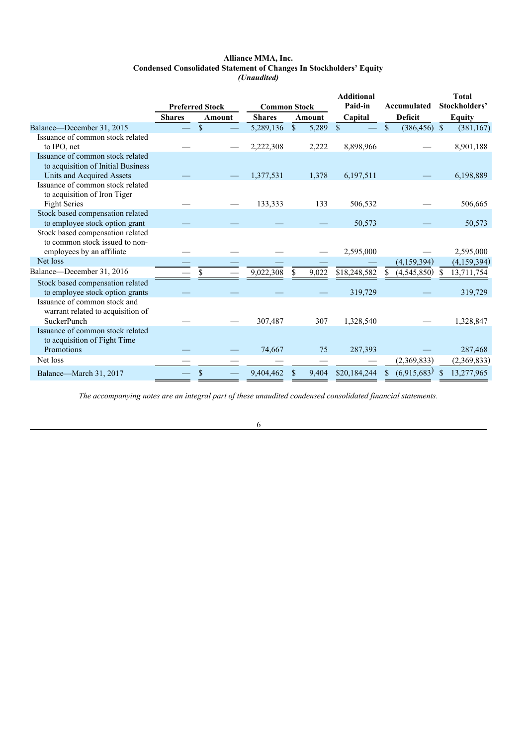# **Alliance MMA, Inc. Condensed Consolidated Statement of Changes In Stockholders' Equity** *(Unaudited)*

|                                                                                                     | <b>Preferred Stock</b><br><b>Shares</b><br>Amount |    |               | <b>Common Stock</b> |       |              | <b>Additional</b><br>Paid-in<br><b>Accumulated</b> |                 |                |
|-----------------------------------------------------------------------------------------------------|---------------------------------------------------|----|---------------|---------------------|-------|--------------|----------------------------------------------------|-----------------|----------------|
|                                                                                                     |                                                   |    | <b>Shares</b> |                     |       | Amount       |                                                    | Capital         | <b>Deficit</b> |
| Balance—December 31, 2015                                                                           |                                                   | \$ | 5,289,136     | $\mathbb{S}$        | 5,289 | \$           | \$<br>$(386, 456)$ \$                              | (381, 167)      |                |
| Issuance of common stock related<br>to IPO, net                                                     |                                                   |    | 2,222,308     |                     | 2,222 | 8,898,966    |                                                    | 8,901,188       |                |
| Issuance of common stock related<br>to acquisition of Initial Business<br>Units and Acquired Assets |                                                   |    | 1,377,531     |                     | 1,378 | 6,197,511    |                                                    | 6,198,889       |                |
| Issuance of common stock related<br>to acquisition of Iron Tiger                                    |                                                   |    |               |                     |       |              |                                                    |                 |                |
| <b>Fight Series</b><br>Stock based compensation related                                             |                                                   |    | 133,333       |                     | 133   | 506,532      |                                                    | 506,665         |                |
| to employee stock option grant                                                                      |                                                   |    |               |                     |       | 50,573       |                                                    | 50,573          |                |
| Stock based compensation related<br>to common stock issued to non-                                  |                                                   |    |               |                     |       |              |                                                    |                 |                |
| employees by an affiliate                                                                           |                                                   |    |               |                     |       | 2,595,000    |                                                    | 2,595,000       |                |
| Net loss                                                                                            |                                                   |    |               |                     |       |              | (4,159,394)                                        | (4, 159, 394)   |                |
| Balance-December 31, 2016                                                                           |                                                   | \$ | 9,022,308     | \$                  | 9,022 | \$18,248,582 | (4,545,850)                                        | 13,711,754      |                |
| Stock based compensation related<br>to employee stock option grants                                 |                                                   |    |               |                     |       | 319,729      |                                                    | 319,729         |                |
| Issuance of common stock and<br>warrant related to acquisition of<br><b>SuckerPunch</b>             |                                                   |    |               |                     |       |              |                                                    |                 |                |
| Issuance of common stock related                                                                    |                                                   |    | 307,487       |                     | 307   | 1,328,540    |                                                    | 1,328,847       |                |
| to acquisition of Fight Time<br>Promotions                                                          |                                                   |    | 74,667        |                     | 75    | 287,393      |                                                    | 287,468         |                |
| Net loss                                                                                            |                                                   |    |               |                     |       |              | (2,369,833)                                        | (2,369,833)     |                |
| Balance—March 31, 2017                                                                              |                                                   |    | 9,404,462     | S                   | 9,404 | \$20,184,244 | (6,915,683)<br>$\mathbb{S}$                        | 13,277,965<br>S |                |

*The accompanying notes are an integral part of these unaudited condensed consolidated financial statements.*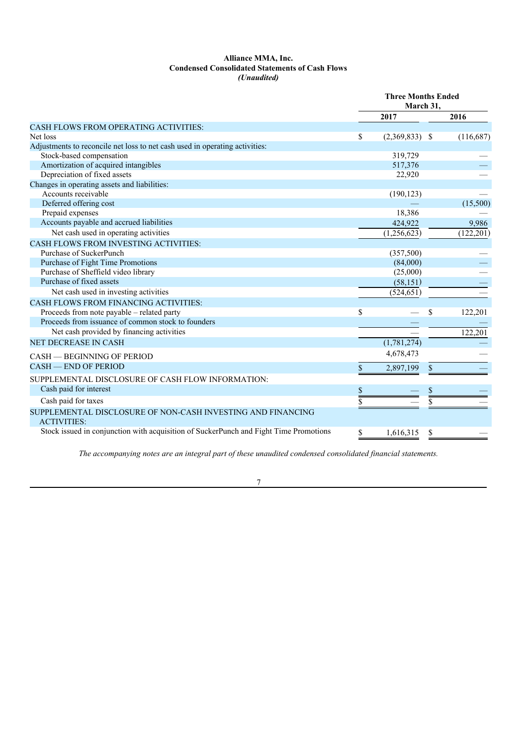# **Alliance MMA, Inc. Condensed Consolidated Statements of Cash Flows** *(Unaudited)*

|                                                                                       | <b>Three Months Ended</b><br>March 31, |                  |      |            |
|---------------------------------------------------------------------------------------|----------------------------------------|------------------|------|------------|
|                                                                                       |                                        | 2017             |      | 2016       |
| CASH FLOWS FROM OPERATING ACTIVITIES:                                                 |                                        |                  |      |            |
| Net loss                                                                              | \$                                     | $(2,369,833)$ \$ |      | (116,687)  |
| Adjustments to reconcile net loss to net cash used in operating activities:           |                                        |                  |      |            |
| Stock-based compensation                                                              |                                        | 319,729          |      |            |
| Amortization of acquired intangibles                                                  |                                        | 517,376          |      |            |
| Depreciation of fixed assets                                                          |                                        | 22,920           |      |            |
| Changes in operating assets and liabilities:                                          |                                        |                  |      |            |
| Accounts receivable                                                                   |                                        | (190, 123)       |      |            |
| Deferred offering cost                                                                |                                        |                  |      | (15,500)   |
| Prepaid expenses                                                                      |                                        | 18,386           |      |            |
| Accounts payable and accrued liabilities                                              |                                        | 424,922          |      | 9.986      |
| Net cash used in operating activities                                                 |                                        | (1,256,623)      |      | (122, 201) |
| CASH FLOWS FROM INVESTING ACTIVITIES:                                                 |                                        |                  |      |            |
| Purchase of SuckerPunch                                                               |                                        | (357,500)        |      |            |
| Purchase of Fight Time Promotions                                                     |                                        | (84,000)         |      |            |
| Purchase of Sheffield video library                                                   |                                        | (25,000)         |      |            |
| Purchase of fixed assets                                                              |                                        | (58, 151)        |      |            |
| Net cash used in investing activities                                                 |                                        | (524, 651)       |      |            |
| CASH FLOWS FROM FINANCING ACTIVITIES:                                                 |                                        |                  |      |            |
| Proceeds from note payable - related party                                            | \$                                     |                  | \$   | 122,201    |
| Proceeds from issuance of common stock to founders                                    |                                        |                  |      |            |
| Net cash provided by financing activities                                             |                                        |                  |      | 122,201    |
| <b>NET DECREASE IN CASH</b>                                                           |                                        | (1,781,274)      |      |            |
| <b>CASH — BEGINNING OF PERIOD</b>                                                     |                                        | 4,678,473        |      |            |
| <b>CASH - END OF PERIOD</b>                                                           | \$                                     | 2,897,199        | $\$$ |            |
| SUPPLEMENTAL DISCLOSURE OF CASH FLOW INFORMATION:                                     |                                        |                  |      |            |
| Cash paid for interest                                                                | \$                                     |                  | \$   |            |
| Cash paid for taxes                                                                   | \$                                     |                  | S    |            |
| SUPPLEMENTAL DISCLOSURE OF NON-CASH INVESTING AND FINANCING                           |                                        |                  |      |            |
| <b>ACTIVITIES:</b>                                                                    |                                        |                  |      |            |
| Stock issued in conjunction with acquisition of SuckerPunch and Fight Time Promotions | \$                                     | 1,616,315        | \$   |            |

*The accompanying notes are an integral part of these unaudited condensed consolidated financial statements.*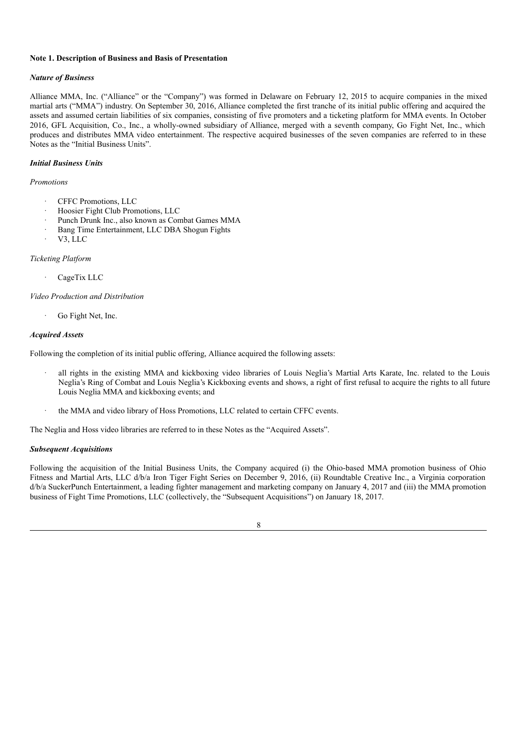# **Note 1. Description of Business and Basis of Presentation**

# *Nature of Business*

Alliance MMA, Inc. ("Alliance" or the "Company") was formed in Delaware on February 12, 2015 to acquire companies in the mixed martial arts ("MMA") industry. On September 30, 2016, Alliance completed the first tranche of its initial public offering and acquired the assets and assumed certain liabilities of six companies, consisting of five promoters and a ticketing platform for MMA events. In October 2016, GFL Acquisition, Co., Inc., a wholly-owned subsidiary of Alliance, merged with a seventh company, Go Fight Net, Inc., which produces and distributes MMA video entertainment. The respective acquired businesses of the seven companies are referred to in these Notes as the "Initial Business Units".

# *Initial Business Units*

# *Promotions*

- · CFFC Promotions, LLC
- · Hoosier Fight Club Promotions, LLC
- Punch Drunk Inc., also known as Combat Games MMA
- Bang Time Entertainment, LLC DBA Shogun Fights
- · V3, LLC

# *Ticketing Platform*

CageTix LLC

*Video Production and Distribution*

Go Fight Net, Inc.

# *Acquired Assets*

Following the completion of its initial public offering, Alliance acquired the following assets:

- · all rights in the existing MMA and kickboxing video libraries of Louis Neglia's Martial Arts Karate, Inc. related to the Louis Neglia's Ring of Combat and Louis Neglia's Kickboxing events and shows, a right of first refusal to acquire the rights to all future Louis Neglia MMA and kickboxing events; and
- the MMA and video library of Hoss Promotions, LLC related to certain CFFC events.

The Neglia and Hoss video libraries are referred to in these Notes as the "Acquired Assets".

# *Subsequent Acquisitions*

Following the acquisition of the Initial Business Units, the Company acquired (i) the Ohio-based MMA promotion business of Ohio Fitness and Martial Arts, LLC d/b/a Iron Tiger Fight Series on December 9, 2016, (ii) Roundtable Creative Inc., a Virginia corporation d/b/a SuckerPunch Entertainment, a leading fighter management and marketing company on January 4, 2017 and (iii) the MMA promotion business of Fight Time Promotions, LLC (collectively, the "Subsequent Acquisitions") on January 18, 2017.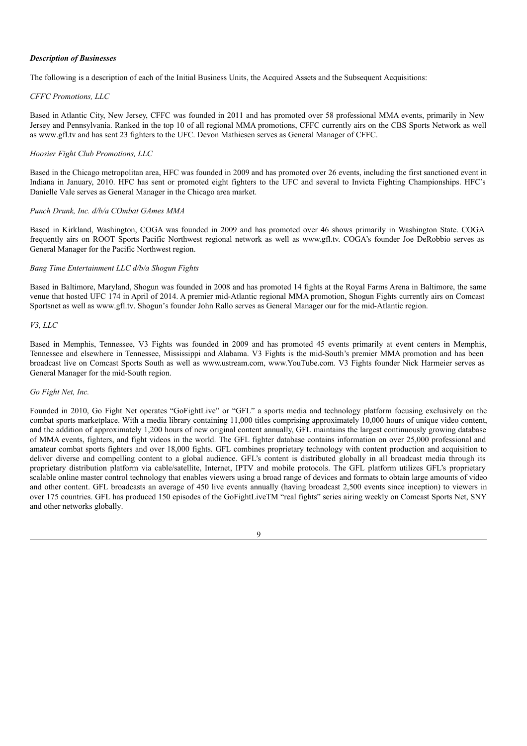# *Description of Businesses*

The following is a description of each of the Initial Business Units, the Acquired Assets and the Subsequent Acquisitions:

# *CFFC Promotions, LLC*

Based in Atlantic City, New Jersey, CFFC was founded in 2011 and has promoted over 58 professional MMA events, primarily in New Jersey and Pennsylvania. Ranked in the top 10 of all regional MMA promotions, CFFC currently airs on the CBS Sports Network as well as www.gfl.tv and has sent 23 fighters to the UFC. Devon Mathiesen serves as General Manager of CFFC.

# *Hoosier Fight Club Promotions, LLC*

Based in the Chicago metropolitan area, HFC was founded in 2009 and has promoted over 26 events, including the first sanctioned event in Indiana in January, 2010. HFC has sent or promoted eight fighters to the UFC and several to Invicta Fighting Championships. HFC's Danielle Vale serves as General Manager in the Chicago area market.

# *Punch Drunk, Inc. d/b/a COmbat GAmes MMA*

Based in Kirkland, Washington, COGA was founded in 2009 and has promoted over 46 shows primarily in Washington State. COGA frequently airs on ROOT Sports Pacific Northwest regional network as well as www.gfl.tv. COGA's founder Joe DeRobbio serves as General Manager for the Pacific Northwest region.

# *Bang Time Entertainment LLC d/b/a Shogun Fights*

Based in Baltimore, Maryland, Shogun was founded in 2008 and has promoted 14 fights at the Royal Farms Arena in Baltimore, the same venue that hosted UFC 174 in April of 2014. A premier mid-Atlantic regional MMA promotion, Shogun Fights currently airs on Comcast Sportsnet as well as www.gfl.tv. Shogun's founder John Rallo serves as General Manager our for the mid-Atlantic region.

# *V3, LLC*

Based in Memphis, Tennessee, V3 Fights was founded in 2009 and has promoted 45 events primarily at event centers in Memphis, Tennessee and elsewhere in Tennessee, Mississippi and Alabama. V3 Fights is the mid-South's premier MMA promotion and has been broadcast live on Comcast Sports South as well as www.ustream.com, www.YouTube.com. V3 Fights founder Nick Harmeier serves as General Manager for the mid-South region.

# *Go Fight Net, Inc.*

Founded in 2010, Go Fight Net operates "GoFightLive" or "GFL" a sports media and technology platform focusing exclusively on the combat sports marketplace. With a media library containing 11,000 titles comprising approximately 10,000 hours of unique video content, and the addition of approximately 1,200 hours of new original content annually, GFL maintains the largest continuously growing database of MMA events, fighters, and fight videos in the world. The GFL fighter database contains information on over 25,000 professional and amateur combat sports fighters and over 18,000 fights. GFL combines proprietary technology with content production and acquisition to deliver diverse and compelling content to a global audience. GFL's content is distributed globally in all broadcast media through its proprietary distribution platform via cable/satellite, Internet, IPTV and mobile protocols. The GFL platform utilizes GFL's proprietary scalable online master control technology that enables viewers using a broad range of devices and formats to obtain large amounts of video and other content. GFL broadcasts an average of 450 live events annually (having broadcast 2,500 events since inception) to viewers in over 175 countries. GFL has produced 150 episodes of the GoFightLiveTM "real fights" series airing weekly on Comcast Sports Net, SNY and other networks globally.

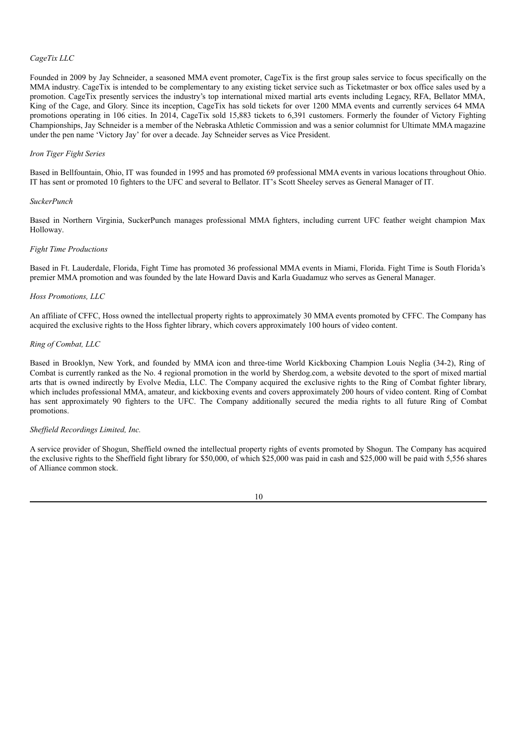# *CageTix LLC*

Founded in 2009 by Jay Schneider, a seasoned MMA event promoter, CageTix is the first group sales service to focus specifically on the MMA industry. CageTix is intended to be complementary to any existing ticket service such as Ticketmaster or box office sales used by a promotion. CageTix presently services the industry's top international mixed martial arts events including Legacy, RFA, Bellator MMA, King of the Cage, and Glory. Since its inception, CageTix has sold tickets for over 1200 MMA events and currently services 64 MMA promotions operating in 106 cities. In 2014, CageTix sold 15,883 tickets to 6,391 customers. Formerly the founder of Victory Fighting Championships, Jay Schneider is a member of the Nebraska Athletic Commission and was a senior columnist for Ultimate MMA magazine under the pen name 'Victory Jay' for over a decade. Jay Schneider serves as Vice President.

# *Iron Tiger Fight Series*

Based in Bellfountain, Ohio, IT was founded in 1995 and has promoted 69 professional MMA events in various locations throughout Ohio. IT has sent or promoted 10 fighters to the UFC and several to Bellator. IT's Scott Sheeley serves as General Manager of IT.

#### *SuckerPunch*

Based in Northern Virginia, SuckerPunch manages professional MMA fighters, including current UFC feather weight champion Max Holloway.

# *Fight Time Productions*

Based in Ft. Lauderdale, Florida, Fight Time has promoted 36 professional MMA events in Miami, Florida. Fight Time is South Florida's premier MMA promotion and was founded by the late Howard Davis and Karla Guadamuz who serves as General Manager.

#### *Hoss Promotions, LLC*

An affiliate of CFFC, Hoss owned the intellectual property rights to approximately 30 MMA events promoted by CFFC. The Company has acquired the exclusive rights to the Hoss fighter library, which covers approximately 100 hours of video content.

# *Ring of Combat, LLC*

Based in Brooklyn, New York, and founded by MMA icon and three-time World Kickboxing Champion Louis Neglia (34-2), Ring of Combat is currently ranked as the No. 4 regional promotion in the world by Sherdog.com, a website devoted to the sport of mixed martial arts that is owned indirectly by Evolve Media, LLC. The Company acquired the exclusive rights to the Ring of Combat fighter library, which includes professional MMA, amateur, and kickboxing events and covers approximately 200 hours of video content. Ring of Combat has sent approximately 90 fighters to the UFC. The Company additionally secured the media rights to all future Ring of Combat promotions.

# *Shef ield Recordings Limited, Inc.*

A service provider of Shogun, Sheffield owned the intellectual property rights of events promoted by Shogun. The Company has acquired the exclusive rights to the Sheffield fight library for \$50,000, of which \$25,000 was paid in cash and \$25,000 will be paid with 5,556 shares of Alliance common stock.

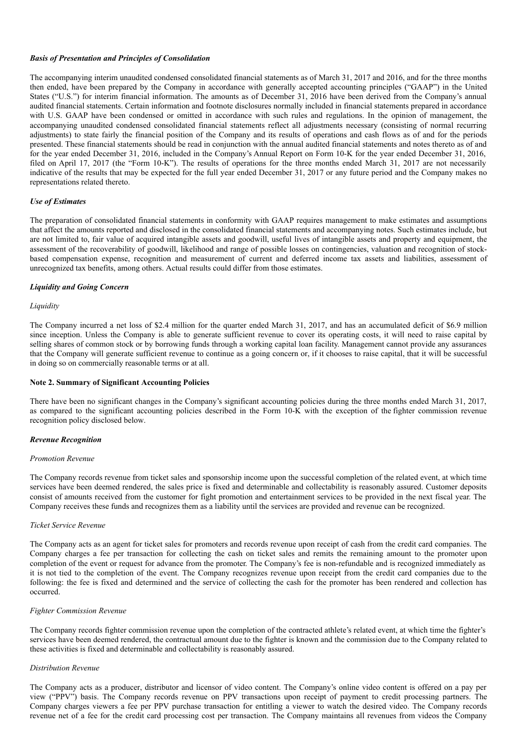#### *Basis of Presentation and Principles of Consolidation*

The accompanying interim unaudited condensed consolidated financial statements as of March 31, 2017 and 2016, and for the three months then ended, have been prepared by the Company in accordance with generally accepted accounting principles ("GAAP") in the United States ("U.S.") for interim financial information. The amounts as of December 31, 2016 have been derived from the Company's annual audited financial statements. Certain information and footnote disclosures normally included in financial statements prepared in accordance with U.S. GAAP have been condensed or omitted in accordance with such rules and regulations. In the opinion of management, the accompanying unaudited condensed consolidated financial statements reflect all adjustments necessary (consisting of normal recurring adjustments) to state fairly the financial position of the Company and its results of operations and cash flows as of and for the periods presented. These financial statements should be read in conjunction with the annual audited financial statements and notes thereto as of and for the year ended December 31, 2016, included in the Company's Annual Report on Form 10-K for the year ended December 31, 2016, filed on April 17, 2017 (the "Form 10-K"). The results of operations for the three months ended March 31, 2017 are not necessarily indicative of the results that may be expected for the full year ended December 31, 2017 or any future period and the Company makes no representations related thereto.

## *Use of Estimates*

The preparation of consolidated financial statements in conformity with GAAP requires management to make estimates and assumptions that affect the amounts reported and disclosed in the consolidated financial statements and accompanying notes. Such estimates include, but are not limited to, fair value of acquired intangible assets and goodwill, useful lives of intangible assets and property and equipment, the assessment of the recoverability of goodwill, likelihood and range of possible losses on contingencies, valuation and recognition of stockbased compensation expense, recognition and measurement of current and deferred income tax assets and liabilities, assessment of unrecognized tax benefits, among others. Actual results could differ from those estimates.

### *Liquidity and Going Concern*

#### *Liquidity*

The Company incurred a net loss of \$2.4 million for the quarter ended March 31, 2017, and has an accumulated deficit of \$6.9 million since inception. Unless the Company is able to generate sufficient revenue to cover its operating costs, it will need to raise capital by selling shares of common stock or by borrowing funds through a working capital loan facility. Management cannot provide any assurances that the Company will generate sufficient revenue to continue as a going concern or, if it chooses to raise capital, that it will be successful in doing so on commercially reasonable terms or at all.

#### **Note 2. Summary of Significant Accounting Policies**

There have been no significant changes in the Company's significant accounting policies during the three months ended March 31, 2017, as compared to the significant accounting policies described in the Form 10-K with the exception of the fighter commission revenue recognition policy disclosed below.

#### *Revenue Recognition*

#### *Promotion Revenue*

The Company records revenue from ticket sales and sponsorship income upon the successful completion of the related event, at which time services have been deemed rendered, the sales price is fixed and determinable and collectability is reasonably assured. Customer deposits consist of amounts received from the customer for fight promotion and entertainment services to be provided in the next fiscal year. The Company receives these funds and recognizes them as a liability until the services are provided and revenue can be recognized.

#### *Ticket Service Revenue*

The Company acts as an agent for ticket sales for promoters and records revenue upon receipt of cash from the credit card companies. The Company charges a fee per transaction for collecting the cash on ticket sales and remits the remaining amount to the promoter upon completion of the event or request for advance from the promoter. The Company's fee is non-refundable and is recognized immediately as it is not tied to the completion of the event. The Company recognizes revenue upon receipt from the credit card companies due to the following: the fee is fixed and determined and the service of collecting the cash for the promoter has been rendered and collection has occurred.

#### *Fighter Commission Revenue*

The Company records fighter commission revenue upon the completion of the contracted athlete's related event, at which time the fighter's services have been deemed rendered, the contractual amount due to the fighter is known and the commission due to the Company related to these activities is fixed and determinable and collectability is reasonably assured.

#### *Distribution Revenue*

The Company acts as a producer, distributor and licensor of video content. The Company's online video content is offered on a pay per view ("PPV") basis. The Company records revenue on PPV transactions upon receipt of payment to credit processing partners. The Company charges viewers a fee per PPV purchase transaction for entitling a viewer to watch the desired video. The Company records revenue net of a fee for the credit card processing cost per transaction. The Company maintains all revenues from videos the Company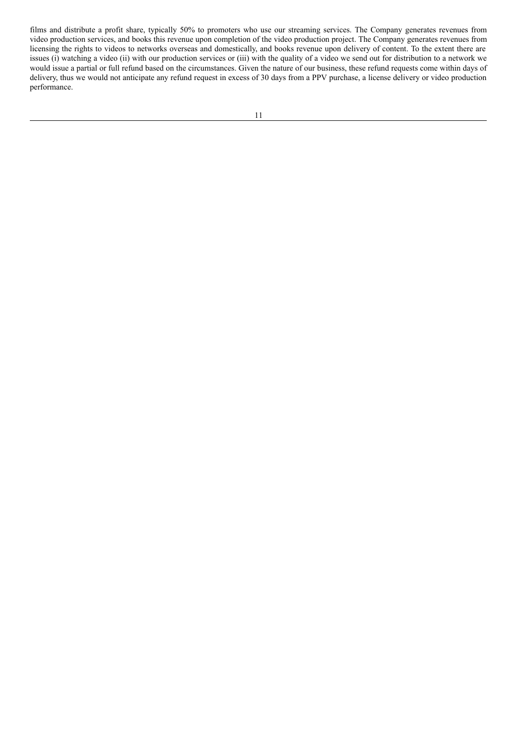films and distribute a profit share, typically 50% to promoters who use our streaming services. The Company generates revenues from video production services, and books this revenue upon completion of the video production project. The Company generates revenues from licensing the rights to videos to networks overseas and domestically, and books revenue upon delivery of content. To the extent there are issues (i) watching a video (ii) with our production services or (iii) with the quality of a video we send out for distribution to a network we would issue a partial or full refund based on the circumstances. Given the nature of our business, these refund requests come within days of delivery, thus we would not anticipate any refund request in excess of 30 days from a PPV purchase, a license delivery or video production performance.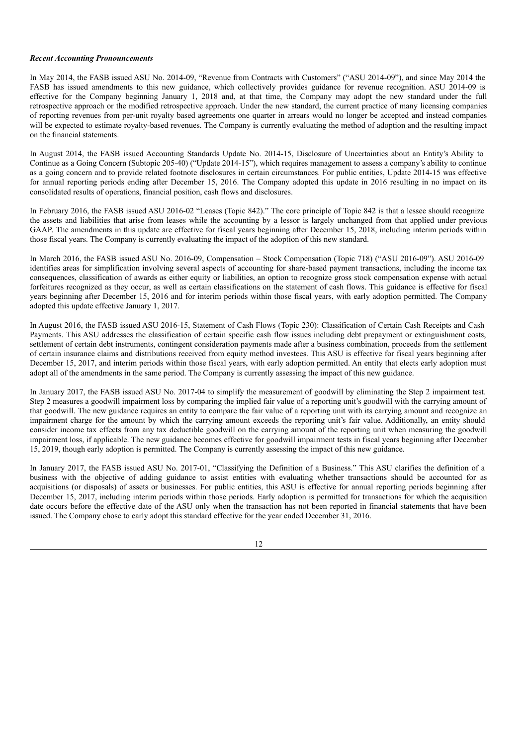## *Recent Accounting Pronouncements*

In May 2014, the FASB issued ASU No. 2014-09, "Revenue from Contracts with Customers" ("ASU 2014-09"), and since May 2014 the FASB has issued amendments to this new guidance, which collectively provides guidance for revenue recognition. ASU 2014-09 is effective for the Company beginning January 1, 2018 and, at that time, the Company may adopt the new standard under the full retrospective approach or the modified retrospective approach. Under the new standard, the current practice of many licensing companies of reporting revenues from per-unit royalty based agreements one quarter in arrears would no longer be accepted and instead companies will be expected to estimate royalty-based revenues. The Company is currently evaluating the method of adoption and the resulting impact on the financial statements.

In August 2014, the FASB issued Accounting Standards Update No. 2014-15, Disclosure of Uncertainties about an Entity's Ability to Continue as a Going Concern (Subtopic 205-40) ("Update 2014-15"), which requires management to assess a company's ability to continue as a going concern and to provide related footnote disclosures in certain circumstances. For public entities, Update 2014-15 was effective for annual reporting periods ending after December 15, 2016. The Company adopted this update in 2016 resulting in no impact on its consolidated results of operations, financial position, cash flows and disclosures.

In February 2016, the FASB issued ASU 2016-02 "Leases (Topic 842)." The core principle of Topic 842 is that a lessee should recognize the assets and liabilities that arise from leases while the accounting by a lessor is largely unchanged from that applied under previous GAAP. The amendments in this update are effective for fiscal years beginning after December 15, 2018, including interim periods within those fiscal years. The Company is currently evaluating the impact of the adoption of this new standard.

In March 2016, the FASB issued ASU No. 2016-09, Compensation – Stock Compensation (Topic 718) ("ASU 2016-09"). ASU 2016-09 identifies areas for simplification involving several aspects of accounting for share-based payment transactions, including the income tax consequences, classification of awards as either equity or liabilities, an option to recognize gross stock compensation expense with actual forfeitures recognized as they occur, as well as certain classifications on the statement of cash flows. This guidance is effective for fiscal years beginning after December 15, 2016 and for interim periods within those fiscal years, with early adoption permitted. The Company adopted this update effective January 1, 2017.

In August 2016, the FASB issued ASU 2016-15, Statement of Cash Flows (Topic 230): Classification of Certain Cash Receipts and Cash Payments. This ASU addresses the classification of certain specific cash flow issues including debt prepayment or extinguishment costs, settlement of certain debt instruments, contingent consideration payments made after a business combination, proceeds from the settlement of certain insurance claims and distributions received from equity method investees. This ASU is effective for fiscal years beginning after December 15, 2017, and interim periods within those fiscal years, with early adoption permitted. An entity that elects early adoption must adopt all of the amendments in the same period. The Company is currently assessing the impact of this new guidance.

In January 2017, the FASB issued ASU No. 2017-04 to simplify the measurement of goodwill by eliminating the Step 2 impairment test. Step 2 measures a goodwill impairment loss by comparing the implied fair value of a reporting unit's goodwill with the carrying amount of that goodwill. The new guidance requires an entity to compare the fair value of a reporting unit with its carrying amount and recognize an impairment charge for the amount by which the carrying amount exceeds the reporting unit's fair value. Additionally, an entity should consider income tax effects from any tax deductible goodwill on the carrying amount of the reporting unit when measuring the goodwill impairment loss, if applicable. The new guidance becomes effective for goodwill impairment tests in fiscal years beginning after December 15, 2019, though early adoption is permitted. The Company is currently assessing the impact of this new guidance.

In January 2017, the FASB issued ASU No. 2017-01, "Classifying the Definition of a Business." This ASU clarifies the definition of a business with the objective of adding guidance to assist entities with evaluating whether transactions should be accounted for as acquisitions (or disposals) of assets or businesses. For public entities, this ASU is effective for annual reporting periods beginning after December 15, 2017, including interim periods within those periods. Early adoption is permitted for transactions for which the acquisition date occurs before the effective date of the ASU only when the transaction has not been reported in financial statements that have been issued. The Company chose to early adopt this standard effective for the year ended December 31, 2016.

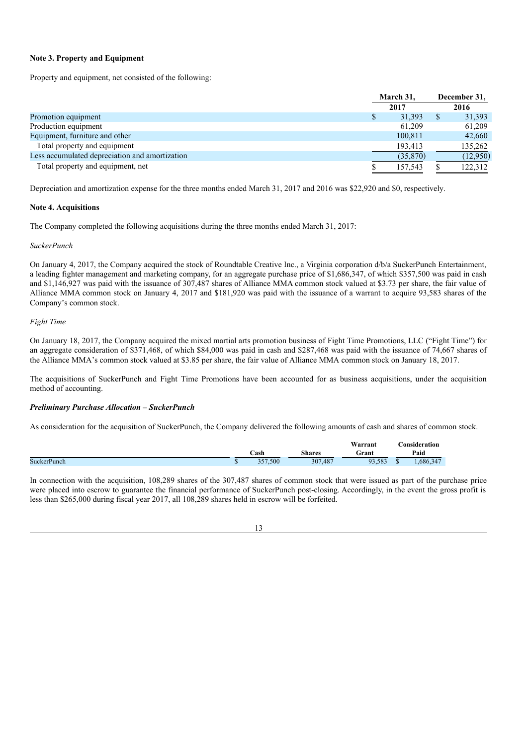# **Note 3. Property and Equipment**

Property and equipment, net consisted of the following:

|                                                |   | March 31, |  | December 31, |  |
|------------------------------------------------|---|-----------|--|--------------|--|
|                                                |   | 2017      |  | 2016         |  |
| Promotion equipment                            | S | 31.393    |  | 31,393       |  |
| Production equipment                           |   | 61.209    |  | 61.209       |  |
| Equipment, furniture and other                 |   | 100,811   |  | 42,660       |  |
| Total property and equipment                   |   | 193.413   |  | 135,262      |  |
| Less accumulated depreciation and amortization |   | (35,870)  |  | (12,950)     |  |
| Total property and equipment, net              |   | 157,543   |  | 122,312      |  |

Depreciation and amortization expense for the three months ended March 31, 2017 and 2016 was \$22,920 and \$0, respectively.

# **Note 4. Acquisitions**

The Company completed the following acquisitions during the three months ended March 31, 2017:

# *SuckerPunch*

On January 4, 2017, the Company acquired the stock of Roundtable Creative Inc., a Virginia corporation d/b/a SuckerPunch Entertainment, a leading fighter management and marketing company, for an aggregate purchase price of \$1,686,347, of which \$357,500 was paid in cash and \$1,146,927 was paid with the issuance of 307,487 shares of Alliance MMA common stock valued at \$3.73 per share, the fair value of Alliance MMA common stock on January 4, 2017 and \$181,920 was paid with the issuance of a warrant to acquire 93,583 shares of the Company's common stock.

# *Fight Time*

On January 18, 2017, the Company acquired the mixed martial arts promotion business of Fight Time Promotions, LLC ("Fight Time") for an aggregate consideration of \$371,468, of which \$84,000 was paid in cash and \$287,468 was paid with the issuance of 74,667 shares of the Alliance MMA's common stock valued at \$3.85 per share, the fair value of Alliance MMA common stock on January 18, 2017.

The acquisitions of SuckerPunch and Fight Time Promotions have been accounted for as business acquisitions, under the acquisition method of accounting.

# *Preliminary Purchase Allocation – SuckerPunch*

As consideration for the acquisition of SuckerPunch, the Company delivered the following amounts of cash and shares of common stock.

|                    |     |              |               | Warrant | $\cdot$ $\cdot$<br><b>Consideration</b> |
|--------------------|-----|--------------|---------------|---------|-----------------------------------------|
|                    |     | Cash         | <b>Shares</b> | Grant   | Paid                                    |
| <b>SuckerPunch</b> | . . | 1.500<br>257 | 307,487       | 93.583  | $\sim$ $\sim$<br>.686.347               |

In connection with the acquisition, 108,289 shares of the 307,487 shares of common stock that were issued as part of the purchase price were placed into escrow to guarantee the financial performance of SuckerPunch post-closing. Accordingly, in the event the gross profit is less than \$265,000 during fiscal year 2017, all 108,289 shares held in escrow will be forfeited.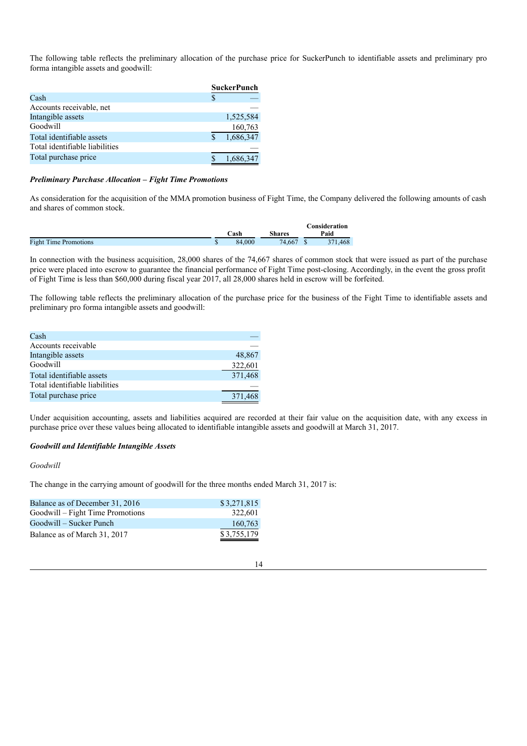The following table reflects the preliminary allocation of the purchase price for SuckerPunch to identifiable assets and preliminary pro forma intangible assets and goodwill:

|                                |   | <b>SuckerPunch</b> |
|--------------------------------|---|--------------------|
| Cash                           | S |                    |
| Accounts receivable, net       |   |                    |
| Intangible assets              |   | 1,525,584          |
| Goodwill                       |   | 160,763            |
| Total identifiable assets      |   | 1,686,347          |
| Total identifiable liabilities |   |                    |
| Total purchase price           |   | 1,686,347          |

## *Preliminary Purchase Allocation – Fight Time Promotions*

As consideration for the acquisition of the MMA promotion business of Fight Time, the Company delivered the following amounts of cash and shares of common stock.

|                              |                 |               | Consideration |
|------------------------------|-----------------|---------------|---------------|
|                              | $\mathbf{Cash}$ | <b>Shares</b> | Paid          |
| <b>Fight Time Promotions</b> | 84,000          | 74.667 \$     | 371,468       |

In connection with the business acquisition, 28,000 shares of the 74,667 shares of common stock that were issued as part of the purchase price were placed into escrow to guarantee the financial performance of Fight Time post-closing. Accordingly, in the event the gross profit of Fight Time is less than \$60,000 during fiscal year 2017, all 28,000 shares held in escrow will be forfeited.

The following table reflects the preliminary allocation of the purchase price for the business of the Fight Time to identifiable assets and preliminary pro forma intangible assets and goodwill:

| Cash                           |         |
|--------------------------------|---------|
| Accounts receivable            |         |
| Intangible assets              | 48,867  |
| Goodwill                       | 322,601 |
| Total identifiable assets      | 371,468 |
| Total identifiable liabilities |         |
| Total purchase price           | 371,468 |

Under acquisition accounting, assets and liabilities acquired are recorded at their fair value on the acquisition date, with any excess in purchase price over these values being allocated to identifiable intangible assets and goodwill at March 31, 2017.

#### *Goodwill and Identifiable Intangible Assets*

# *Goodwill*

The change in the carrying amount of goodwill for the three months ended March 31, 2017 is:

| Balance as of December 31, 2016  | \$3,271,815 |
|----------------------------------|-------------|
| Goodwill – Fight Time Promotions | 322.601     |
| Goodwill – Sucker Punch          | 160,763     |
| Balance as of March 31, 2017     | \$3,755,179 |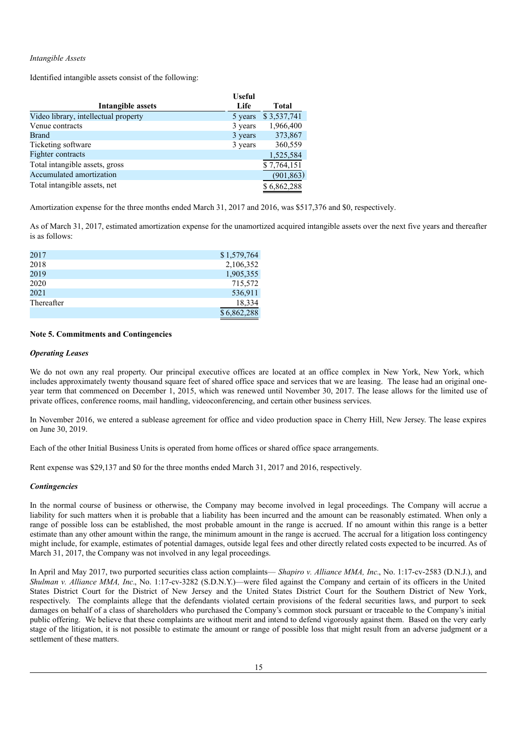# *Intangible Assets*

Identified intangible assets consist of the following:

|                                      | <b>Useful</b> |             |
|--------------------------------------|---------------|-------------|
| Intangible assets                    | Life          | Total       |
| Video library, intellectual property | 5 years       | \$3,537,741 |
| Venue contracts                      | 3 years       | 1,966,400   |
| Brand                                | 3 years       | 373,867     |
| Ticketing software                   | 3 years       | 360,559     |
| Fighter contracts                    |               | 1,525,584   |
| Total intangible assets, gross       |               | \$7,764,151 |
| Accumulated amortization             |               | (901, 863)  |
| Total intangible assets, net         |               | \$6,862,288 |

Amortization expense for the three months ended March 31, 2017 and 2016, was \$517,376 and \$0, respectively.

As of March 31, 2017, estimated amortization expense for the unamortized acquired intangible assets over the next five years and thereafter is as follows:

| 2017       | \$1,579,764 |
|------------|-------------|
| 2018       | 2,106,352   |
| 2019       | 1,905,355   |
| 2020       | 715,572     |
| 2021       | 536,911     |
| Thereafter | 18,334      |
|            | \$6,862,288 |

# **Note 5. Commitments and Contingencies**

# *Operating Leases*

We do not own any real property. Our principal executive offices are located at an office complex in New York, New York, which includes approximately twenty thousand square feet of shared office space and services that we are leasing. The lease had an original oneyear term that commenced on December 1, 2015, which was renewed until November 30, 2017. The lease allows for the limited use of private offices, conference rooms, mail handling, videoconferencing, and certain other business services.

In November 2016, we entered a sublease agreement for office and video production space in Cherry Hill, New Jersey. The lease expires on June 30, 2019.

Each of the other Initial Business Units is operated from home offices or shared office space arrangements.

Rent expense was \$29,137 and \$0 for the three months ended March 31, 2017 and 2016, respectively.

# *Contingencies*

In the normal course of business or otherwise, the Company may become involved in legal proceedings. The Company will accrue a liability for such matters when it is probable that a liability has been incurred and the amount can be reasonably estimated. When only a range of possible loss can be established, the most probable amount in the range is accrued. If no amount within this range is a better estimate than any other amount within the range, the minimum amount in the range is accrued. The accrual for a litigation loss contingency might include, for example, estimates of potential damages, outside legal fees and other directly related costs expected to be incurred. As of March 31, 2017, the Company was not involved in any legal proceedings.

In April and May 2017, two purported securities class action complaints— *Shapiro v. Alliance MMA, Inc.*, No. 1:17-cv-2583 (D.N.J.), and *Shulman v. Alliance MMA, Inc.*, No. 1:17-cv-3282 (S.D.N.Y.)—were filed against the Company and certain of its officers in the United States District Court for the District of New Jersey and the United States District Court for the Southern District of New York, respectively. The complaints allege that the defendants violated certain provisions of the federal securities laws, and purport to seek damages on behalf of a class of shareholders who purchased the Company's common stock pursuant or traceable to the Company's initial public offering. We believe that these complaints are without merit and intend to defend vigorously against them. Based on the very early stage of the litigation, it is not possible to estimate the amount or range of possible loss that might result from an adverse judgment or a settlement of these matters.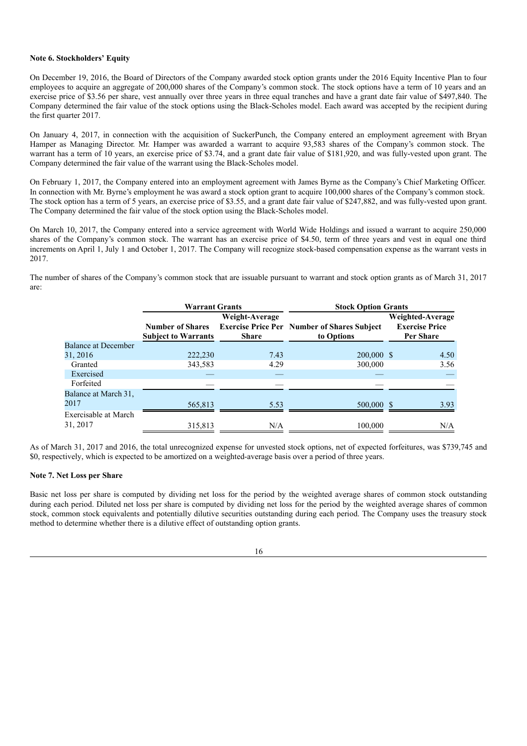# **Note 6. Stockholders' Equity**

On December 19, 2016, the Board of Directors of the Company awarded stock option grants under the 2016 Equity Incentive Plan to four employees to acquire an aggregate of 200,000 shares of the Company's common stock. The stock options have a term of 10 years and an exercise price of \$3.56 per share, vest annually over three years in three equal tranches and have a grant date fair value of \$497,840. The Company determined the fair value of the stock options using the Black-Scholes model. Each award was accepted by the recipient during the first quarter 2017.

On January 4, 2017, in connection with the acquisition of SuckerPunch, the Company entered an employment agreement with Bryan Hamper as Managing Director. Mr. Hamper was awarded a warrant to acquire 93,583 shares of the Company's common stock. The warrant has a term of 10 years, an exercise price of \$3.74, and a grant date fair value of \$181,920, and was fully-vested upon grant. The Company determined the fair value of the warrant using the Black-Scholes model.

On February 1, 2017, the Company entered into an employment agreement with James Byrne as the Company's Chief Marketing Officer. In connection with Mr. Byrne's employment he was award a stock option grant to acquire 100,000 shares of the Company's common stock. The stock option has a term of 5 years, an exercise price of \$3.55, and a grant date fair value of \$247,882, and was fully-vested upon grant. The Company determined the fair value of the stock option using the Black-Scholes model.

On March 10, 2017, the Company entered into a service agreement with World Wide Holdings and issued a warrant to acquire 250,000 shares of the Company's common stock. The warrant has an exercise price of \$4.50, term of three years and vest in equal one third increments on April 1, July 1 and October 1, 2017. The Company will recognize stock-based compensation expense as the warrant vests in 2017.

The number of shares of the Company's common stock that are issuable pursuant to warrant and stock option grants as of March 31, 2017 are:

|                                  | <b>Warrant Grants</b><br>Weight-Average<br><b>Exercise Price Per Number of Shares Subject</b><br><b>Number of Shares</b><br><b>Subject to Warrants</b><br>to Options<br><b>Share</b> |      | <b>Stock Option Grants</b>                             |      |  |  |
|----------------------------------|--------------------------------------------------------------------------------------------------------------------------------------------------------------------------------------|------|--------------------------------------------------------|------|--|--|
|                                  |                                                                                                                                                                                      |      | Weighted-Average<br><b>Exercise Price</b><br>Per Share |      |  |  |
| <b>Balance at December</b>       |                                                                                                                                                                                      |      |                                                        |      |  |  |
| 31, 2016                         | 222,230                                                                                                                                                                              | 7.43 | 200,000 \$                                             | 4.50 |  |  |
| Granted                          | 343,583                                                                                                                                                                              | 4.29 | 300,000                                                | 3.56 |  |  |
| Exercised                        |                                                                                                                                                                                      |      |                                                        |      |  |  |
| Forfeited                        |                                                                                                                                                                                      |      |                                                        |      |  |  |
| Balance at March 31,             |                                                                                                                                                                                      |      |                                                        |      |  |  |
| 2017                             | 565,813                                                                                                                                                                              | 5.53 | 500,000 \$                                             | 3.93 |  |  |
| Exercisable at March<br>31, 2017 | 315,813                                                                                                                                                                              | N/A  | 100,000                                                | N/A  |  |  |

As of March 31, 2017 and 2016, the total unrecognized expense for unvested stock options, net of expected forfeitures, was \$739,745 and \$0, respectively, which is expected to be amortized on a weighted-average basis over a period of three years.

# **Note 7. Net Loss per Share**

Basic net loss per share is computed by dividing net loss for the period by the weighted average shares of common stock outstanding during each period. Diluted net loss per share is computed by dividing net loss for the period by the weighted average shares of common stock, common stock equivalents and potentially dilutive securities outstanding during each period. The Company uses the treasury stock method to determine whether there is a dilutive effect of outstanding option grants.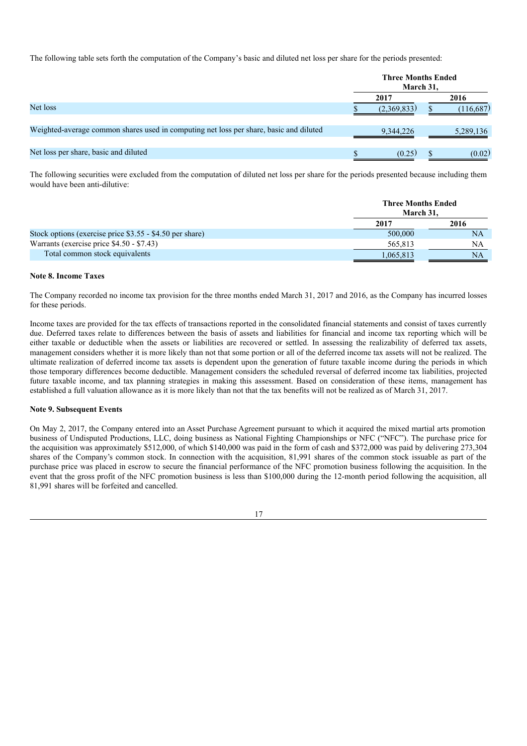The following table sets forth the computation of the Company's basic and diluted net loss per share for the periods presented:

|                                                                                        | <b>Three Months Ended</b><br>March 31, |             |  |           |
|----------------------------------------------------------------------------------------|----------------------------------------|-------------|--|-----------|
|                                                                                        |                                        | 2017        |  | 2016      |
| Net loss                                                                               |                                        | (2,369,833) |  | (116,687) |
| Weighted-average common shares used in computing net loss per share, basic and diluted |                                        | 9,344,226   |  | 5,289,136 |
| Net loss per share, basic and diluted                                                  |                                        | (0.25)      |  | (0.02)    |

The following securities were excluded from the computation of diluted net loss per share for the periods presented because including them would have been anti-dilutive:

|                                                          |           | <b>Three Months Ended</b><br>March 31. |  |  |
|----------------------------------------------------------|-----------|----------------------------------------|--|--|
|                                                          | 2017      | 2016                                   |  |  |
| Stock options (exercise price \$3.55 - \$4.50 per share) | 500,000   | NA                                     |  |  |
| Warrants (exercise price \$4.50 - \$7.43)                | 565,813   | NA                                     |  |  |
| Total common stock equivalents                           | 1,065,813 | NA                                     |  |  |

#### **Note 8. Income Taxes**

The Company recorded no income tax provision for the three months ended March 31, 2017 and 2016, as the Company has incurred losses for these periods.

Income taxes are provided for the tax effects of transactions reported in the consolidated financial statements and consist of taxes currently due. Deferred taxes relate to differences between the basis of assets and liabilities for financial and income tax reporting which will be either taxable or deductible when the assets or liabilities are recovered or settled. In assessing the realizability of deferred tax assets, management considers whether it is more likely than not that some portion or all of the deferred income tax assets will not be realized. The ultimate realization of deferred income tax assets is dependent upon the generation of future taxable income during the periods in which those temporary differences become deductible. Management considers the scheduled reversal of deferred income tax liabilities, projected future taxable income, and tax planning strategies in making this assessment. Based on consideration of these items, management has established a full valuation allowance as it is more likely than not that the tax benefits will not be realized as of March 31, 2017.

# **Note 9. Subsequent Events**

On May 2, 2017, the Company entered into an Asset Purchase Agreement pursuant to which it acquired the mixed martial arts promotion business of Undisputed Productions, LLC, doing business as National Fighting Championships or NFC ("NFC"). The purchase price for the acquisition was approximately \$512,000, of which \$140,000 was paid in the form of cash and \$372,000 was paid by delivering 273,304 shares of the Company's common stock. In connection with the acquisition, 81,991 shares of the common stock issuable as part of the purchase price was placed in escrow to secure the financial performance of the NFC promotion business following the acquisition. In the event that the gross profit of the NFC promotion business is less than \$100,000 during the 12-month period following the acquisition, all 81,991 shares will be forfeited and cancelled.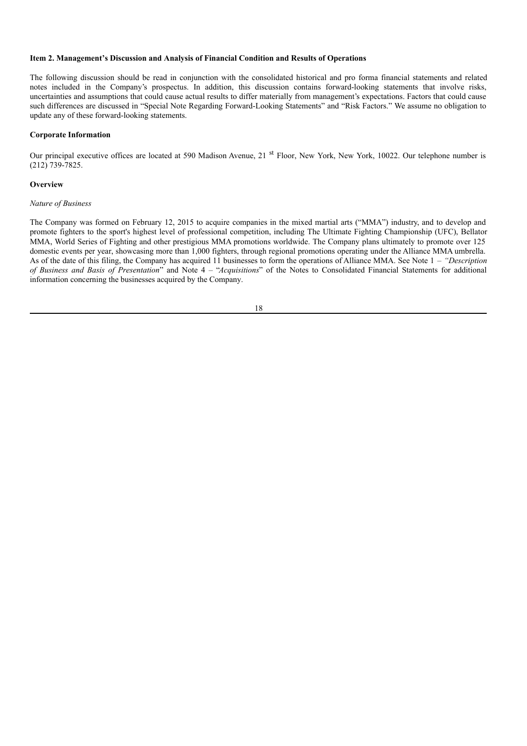# **Item 2. Management's Discussion and Analysis of Financial Condition and Results of Operations**

The following discussion should be read in conjunction with the consolidated historical and pro forma financial statements and related notes included in the Company's prospectus. In addition, this discussion contains forward-looking statements that involve risks, uncertainties and assumptions that could cause actual results to differ materially from management's expectations. Factors that could cause such differences are discussed in "Special Note Regarding Forward-Looking Statements" and "Risk Factors." We assume no obligation to update any of these forward-looking statements.

# **Corporate Information**

Our principal executive offices are located at 590 Madison Avenue, 21<sup>st</sup> Floor, New York, New York, 10022. Our telephone number is (212) 739-7825.

#### **Overview**

#### *Nature of Business*

The Company was formed on February 12, 2015 to acquire companies in the mixed martial arts ("MMA") industry, and to develop and promote fighters to the sport's highest level of professional competition, including The Ultimate Fighting Championship (UFC), Bellator MMA, World Series of Fighting and other prestigious MMA promotions worldwide. The Company plans ultimately to promote over 125 domestic events per year, showcasing more than 1,000 fighters, through regional promotions operating under the Alliance MMA umbrella. As of the date of this filing, the Company has acquired 11 businesses to form the operations of Alliance MMA. See Note 1 *– "Description of Business and Basis of Presentation*" and Note 4 – "*Acquisitions*" of the Notes to Consolidated Financial Statements for additional information concerning the businesses acquired by the Company.

| ۰.       |
|----------|
| ۰.<br>۰, |
|          |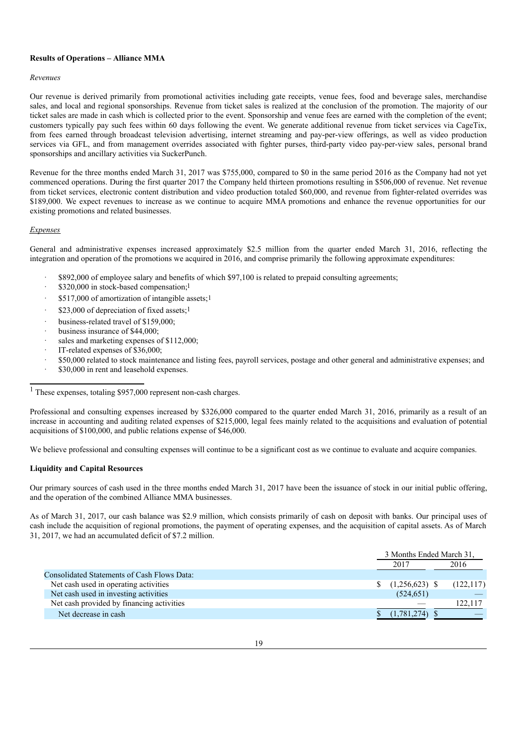# **Results of Operations – Alliance MMA**

#### *Revenues*

Our revenue is derived primarily from promotional activities including gate receipts, venue fees, food and beverage sales, merchandise sales, and local and regional sponsorships. Revenue from ticket sales is realized at the conclusion of the promotion. The majority of our ticket sales are made in cash which is collected prior to the event. Sponsorship and venue fees are earned with the completion of the event; customers typically pay such fees within 60 days following the event. We generate additional revenue from ticket services via CageTix, from fees earned through broadcast television advertising, internet streaming and pay-per-view offerings, as well as video production services via GFL, and from management overrides associated with fighter purses, third-party video pay-per-view sales, personal brand sponsorships and ancillary activities via SuckerPunch.

Revenue for the three months ended March 31, 2017 was \$755,000, compared to \$0 in the same period 2016 as the Company had not yet commenced operations. During the first quarter 2017 the Company held thirteen promotions resulting in \$506,000 of revenue. Net revenue from ticket services, electronic content distribution and video production totaled \$60,000, and revenue from fighter-related overrides was \$189,000. We expect revenues to increase as we continue to acquire MMA promotions and enhance the revenue opportunities for our existing promotions and related businesses.

#### *Expenses*

General and administrative expenses increased approximately \$2.5 million from the quarter ended March 31, 2016, reflecting the integration and operation of the promotions we acquired in 2016, and comprise primarily the following approximate expenditures:

- · \$892,000 of employee salary and benefits of which \$97,100 is related to prepaid consulting agreements;
- \$320,000 in stock-based compensation;<sup>1</sup>
- $$517,000$  of amortization of intangible assets;<sup>1</sup>
- · \$23,000 of depreciation of fixed assets;1
- business-related travel of \$159,000:
- business insurance of \$44,000:
- sales and marketing expenses of \$112,000;
- IT-related expenses of \$36,000;
- · \$50,000 related to stock maintenance and listing fees, payroll services, postage and other general and administrative expenses; and
- \$30,000 in rent and leasehold expenses.

Professional and consulting expenses increased by \$326,000 compared to the quarter ended March 31, 2016, primarily as a result of an increase in accounting and auditing related expenses of \$215,000, legal fees mainly related to the acquisitions and evaluation of potential acquisitions of \$100,000, and public relations expense of \$46,000.

We believe professional and consulting expenses will continue to be a significant cost as we continue to evaluate and acquire companies.

# **Liquidity and Capital Resources**

Our primary sources of cash used in the three months ended March 31, 2017 have been the issuance of stock in our initial public offering, and the operation of the combined Alliance MMA businesses.

As of March 31, 2017, our cash balance was \$2.9 million, which consists primarily of cash on deposit with banks. Our principal uses of cash include the acquisition of regional promotions, the payment of operating expenses, and the acquisition of capital assets. As of March 31, 2017, we had an accumulated deficit of \$7.2 million.

|                                             | 3 Months Ended March 31, |  |            |
|---------------------------------------------|--------------------------|--|------------|
|                                             | 2017                     |  | 2016       |
| Consolidated Statements of Cash Flows Data: |                          |  |            |
| Net cash used in operating activities       | $(1,256,623)$ \$         |  | (122, 117) |
| Net cash used in investing activities       | (524, 651)               |  |            |
| Net cash provided by financing activities   |                          |  | 122,117    |
| Net decrease in cash                        | (1.781.274)              |  |            |

<sup>&</sup>lt;sup>1</sup> These expenses, totaling \$957,000 represent non-cash charges.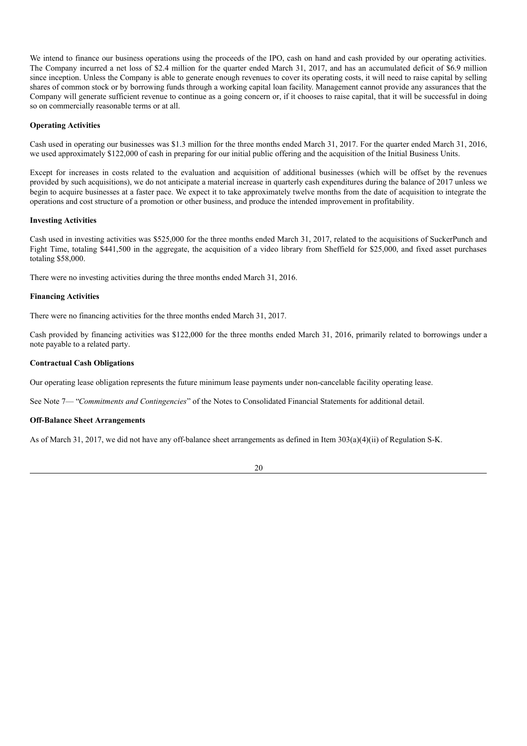We intend to finance our business operations using the proceeds of the IPO, cash on hand and cash provided by our operating activities. The Company incurred a net loss of \$2.4 million for the quarter ended March 31, 2017, and has an accumulated deficit of \$6.9 million since inception. Unless the Company is able to generate enough revenues to cover its operating costs, it will need to raise capital by selling shares of common stock or by borrowing funds through a working capital loan facility. Management cannot provide any assurances that the Company will generate sufficient revenue to continue as a going concern or, if it chooses to raise capital, that it will be successful in doing so on commercially reasonable terms or at all.

## **Operating Activities**

Cash used in operating our businesses was \$1.3 million for the three months ended March 31, 2017. For the quarter ended March 31, 2016, we used approximately \$122,000 of cash in preparing for our initial public offering and the acquisition of the Initial Business Units.

Except for increases in costs related to the evaluation and acquisition of additional businesses (which will be offset by the revenues provided by such acquisitions), we do not anticipate a material increase in quarterly cash expenditures during the balance of 2017 unless we begin to acquire businesses at a faster pace. We expect it to take approximately twelve months from the date of acquisition to integrate the operations and cost structure of a promotion or other business, and produce the intended improvement in profitability.

#### **Investing Activities**

Cash used in investing activities was \$525,000 for the three months ended March 31, 2017, related to the acquisitions of SuckerPunch and Fight Time, totaling \$441,500 in the aggregate, the acquisition of a video library from Sheffield for \$25,000, and fixed asset purchases totaling \$58,000.

There were no investing activities during the three months ended March 31, 2016.

#### **Financing Activities**

There were no financing activities for the three months ended March 31, 2017.

Cash provided by financing activities was \$122,000 for the three months ended March 31, 2016, primarily related to borrowings under a note payable to a related party.

#### **Contractual Cash Obligations**

Our operating lease obligation represents the future minimum lease payments under non-cancelable facility operating lease.

See Note 7— "*Commitments and Contingencies*" of the Notes to Consolidated Financial Statements for additional detail.

# **Off-Balance Sheet Arrangements**

As of March 31, 2017, we did not have any off-balance sheet arrangements as defined in Item 303(a)(4)(ii) of Regulation S-K.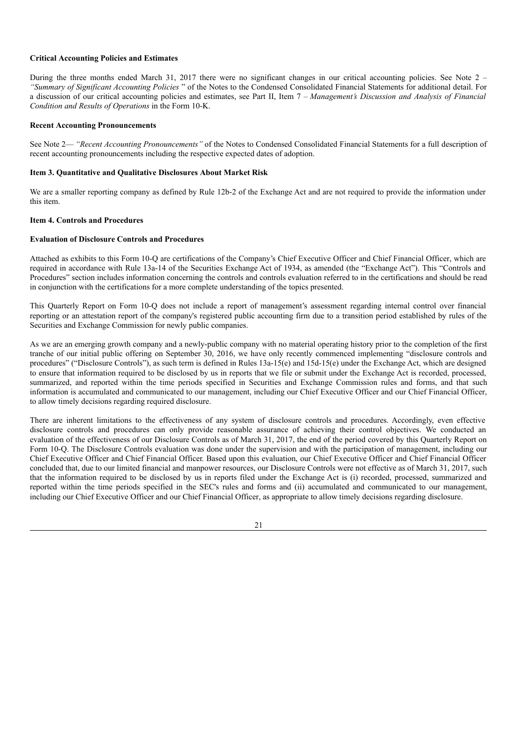# **Critical Accounting Policies and Estimates**

During the three months ended March 31, 2017 there were no significant changes in our critical accounting policies. See Note 2 – *"Summary of Significant Accounting Policies* " of the Notes to the Condensed Consolidated Financial Statements for additional detail. For a discussion of our critical accounting policies and estimates, see Part II, Item 7 – *Management's Discussion and Analysis of Financial Condition and Results of Operations* in the Form 10-K.

## **Recent Accounting Pronouncements**

See Note 2— *"Recent Accounting Pronouncements"* of the Notes to Condensed Consolidated Financial Statements for a full description of recent accounting pronouncements including the respective expected dates of adoption.

#### **Item 3. Quantitative and Qualitative Disclosures About Market Risk**

We are a smaller reporting company as defined by Rule 12b-2 of the Exchange Act and are not required to provide the information under this item.

# **Item 4. Controls and Procedures**

# **Evaluation of Disclosure Controls and Procedures**

Attached as exhibits to this Form 10-Q are certifications of the Company's Chief Executive Officer and Chief Financial Officer, which are required in accordance with Rule 13a-14 of the Securities Exchange Act of 1934, as amended (the "Exchange Act"). This "Controls and Procedures" section includes information concerning the controls and controls evaluation referred to in the certifications and should be read in conjunction with the certifications for a more complete understanding of the topics presented.

This Quarterly Report on Form 10-Q does not include a report of management's assessment regarding internal control over financial reporting or an attestation report of the company's registered public accounting firm due to a transition period established by rules of the Securities and Exchange Commission for newly public companies.

As we are an emerging growth company and a newly-public company with no material operating history prior to the completion of the first tranche of our initial public offering on September 30, 2016, we have only recently commenced implementing "disclosure controls and procedures" ("Disclosure Controls"), as such term is defined in Rules 13a-15(e) and 15d-15(e) under the Exchange Act, which are designed to ensure that information required to be disclosed by us in reports that we file or submit under the Exchange Act is recorded, processed, summarized, and reported within the time periods specified in Securities and Exchange Commission rules and forms, and that such information is accumulated and communicated to our management, including our Chief Executive Officer and our Chief Financial Officer, to allow timely decisions regarding required disclosure.

There are inherent limitations to the effectiveness of any system of disclosure controls and procedures. Accordingly, even effective disclosure controls and procedures can only provide reasonable assurance of achieving their control objectives. We conducted an evaluation of the effectiveness of our Disclosure Controls as of March 31, 2017, the end of the period covered by this Quarterly Report on Form 10-Q. The Disclosure Controls evaluation was done under the supervision and with the participation of management, including our Chief Executive Officer and Chief Financial Officer. Based upon this evaluation, our Chief Executive Officer and Chief Financial Officer concluded that, due to our limited financial and manpower resources, our Disclosure Controls were not effective as of March 31, 2017, such that the information required to be disclosed by us in reports filed under the Exchange Act is (i) recorded, processed, summarized and reported within the time periods specified in the SEC's rules and forms and (ii) accumulated and communicated to our management, including our Chief Executive Officer and our Chief Financial Officer, as appropriate to allow timely decisions regarding disclosure.

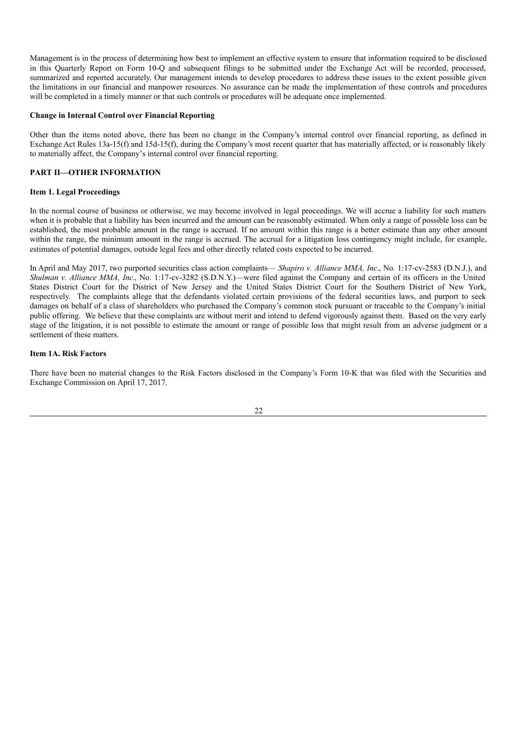Management is in the process of determining how best to implement an effective system to ensure that information required to be disclosed in this Quarterly Report on Form 10-Q and subsequent filings to be submitted under the Exchange Act will be recorded, processed, summarized and reported accurately. Our management intends to develop procedures to address these issues to the extent possible given the limitations in our financial and manpower resources. No assurance can be made the implementation of these controls and procedures will be completed in a timely manner or that such controls or procedures will be adequate once implemented.

### **Change in Internal Control over Financial Reporting**

Other than the items noted above, there has been no change in the Company's internal control over financial reporting, as defined in Exchange Act Rules 13a-15(f) and 15d-15(f), during the Company's most recent quarter that has materially affected, or is reasonably likely to materially affect, the Company's internal control over financial reporting.

# **PART II—OTHER INFORMATION**

#### **Item 1. Legal Proceedings**

In the normal course of business or otherwise, we may become involved in legal proceedings. We will accrue a liability for such matters when it is probable that a liability has been incurred and the amount can be reasonably estimated. When only a range of possible loss can be established, the most probable amount in the range is accrued. If no amount within this range is a better estimate than any other amount within the range, the minimum amount in the range is accrued. The accrual for a litigation loss contingency might include, for example, estimates of potential damages, outside legal fees and other directly related costs expected to be incurred.

In April and May 2017, two purported securities class action complaints— *Shapiro v. Alliance MMA, Inc.*, No. 1:17-cv-2583 (D.N.J.), and *Shulman v. Alliance MMA, Inc.*, No. 1:17-cv-3282 (S.D.N.Y.)—were filed against the Company and certain of its officers in the United States District Court for the District of New Jersey and the United States District Court for the Southern District of New York, respectively. The complaints allege that the defendants violated certain provisions of the federal securities laws, and purport to seek damages on behalf of a class of shareholders who purchased the Company's common stock pursuant or traceable to the Company's initial public offering. We believe that these complaints are without merit and intend to defend vigorously against them. Based on the very early stage of the litigation, it is not possible to estimate the amount or range of possible loss that might result from an adverse judgment or a settlement of these matters.

# **Item 1A. Risk Factors**

There have been no material changes to the Risk Factors disclosed in the Company's Form 10-K that was filed with the Securities and Exchange Commission on April 17, 2017.

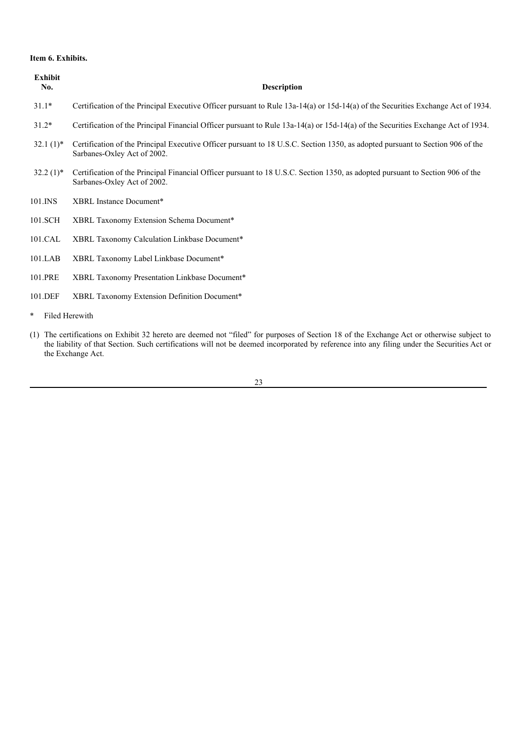# **Item 6. Exhibits.**

| <b>Exhibit</b><br>No. | <b>Description</b>                                                                                                                                            |
|-----------------------|---------------------------------------------------------------------------------------------------------------------------------------------------------------|
| $31.1*$               | Certification of the Principal Executive Officer pursuant to Rule 13a-14(a) or 15d-14(a) of the Securities Exchange Act of 1934.                              |
| $31.2*$               | Certification of the Principal Financial Officer pursuant to Rule 13a-14(a) or 15d-14(a) of the Securities Exchange Act of 1934.                              |
| $32.1(1)^*$           | Certification of the Principal Executive Officer pursuant to 18 U.S.C. Section 1350, as adopted pursuant to Section 906 of the<br>Sarbanes-Oxley Act of 2002. |
| $32.2(1)$ *           | Certification of the Principal Financial Officer pursuant to 18 U.S.C. Section 1350, as adopted pursuant to Section 906 of the<br>Sarbanes-Oxley Act of 2002. |
| 101.INS               | XBRL Instance Document*                                                                                                                                       |
| 101.SCH               | XBRL Taxonomy Extension Schema Document*                                                                                                                      |
| 101.CAL               | XBRL Taxonomy Calculation Linkbase Document*                                                                                                                  |
| 101.LAB               | XBRL Taxonomy Label Linkbase Document*                                                                                                                        |
| 101.PRE               | XBRL Taxonomy Presentation Linkbase Document*                                                                                                                 |
| 101.DEF               | XBRL Taxonomy Extension Definition Document*                                                                                                                  |
| Filed Herewith<br>*   |                                                                                                                                                               |

(1) The certifications on Exhibit 32 hereto are deemed not "filed" for purposes of Section 18 of the Exchange Act or otherwise subject to the liability of that Section. Such certifications will not be deemed incorporated by reference into any filing under the Securities Act or the Exchange Act.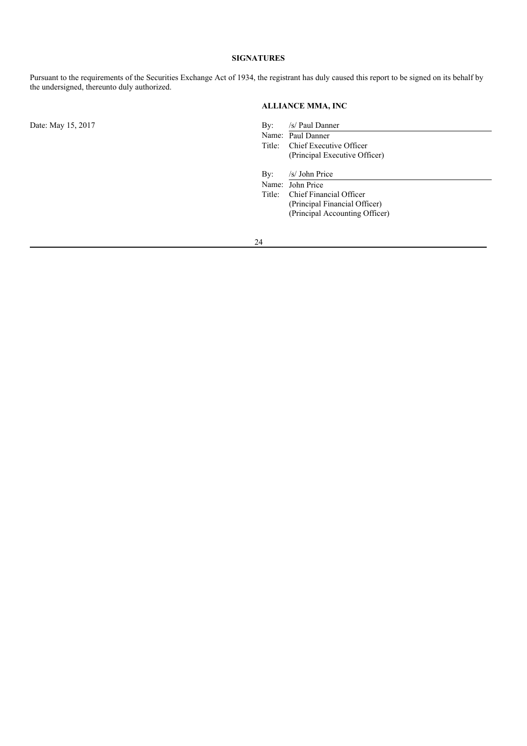# **SIGNATURES**

Pursuant to the requirements of the Securities Exchange Act of 1934, the registrant has duly caused this report to be signed on its behalf by the undersigned, thereunto duly authorized.

# **ALLIANCE MMA, INC**

Date: May 15, 2017 By: *B* 

| }y: | /s/ Paul Danner |  |
|-----|-----------------|--|
|-----|-----------------|--|

Name: Paul Danner<br>Title: Chief Execut Chief Executive Officer (Principal Executive Officer)

By: /s/ John Price

Name: John Price

Title: Chief Financial Officer (Principal Financial Officer) (Principal Accounting Officer)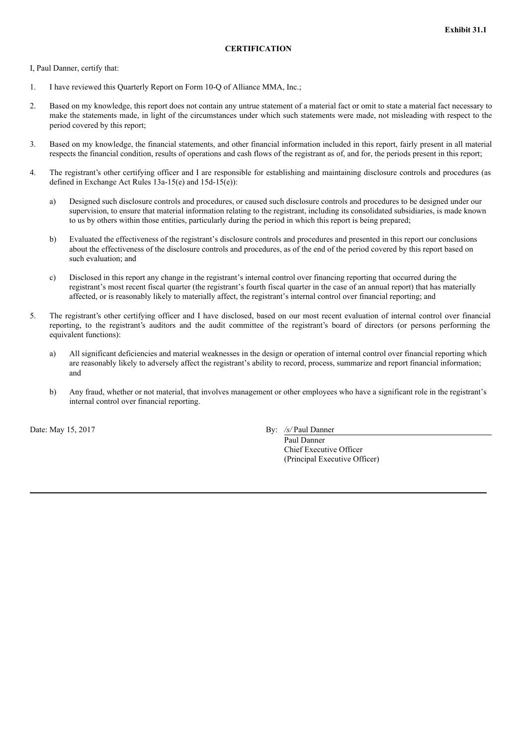## **CERTIFICATION**

I, Paul Danner, certify that:

- 1. I have reviewed this Quarterly Report on Form 10-Q of Alliance MMA, Inc.;
- 2. Based on my knowledge, this report does not contain any untrue statement of a material fact or omit to state a material fact necessary to make the statements made, in light of the circumstances under which such statements were made, not misleading with respect to the period covered by this report;
- 3. Based on my knowledge, the financial statements, and other financial information included in this report, fairly present in all material respects the financial condition, results of operations and cash flows of the registrant as of, and for, the periods present in this report;
- 4. The registrant's other certifying officer and I are responsible for establishing and maintaining disclosure controls and procedures (as defined in Exchange Act Rules 13a-15(e) and 15d-15(e)):
	- a) Designed such disclosure controls and procedures, or caused such disclosure controls and procedures to be designed under our supervision, to ensure that material information relating to the registrant, including its consolidated subsidiaries, is made known to us by others within those entities, particularly during the period in which this report is being prepared;
	- b) Evaluated the effectiveness of the registrant's disclosure controls and procedures and presented in this report our conclusions about the effectiveness of the disclosure controls and procedures, as of the end of the period covered by this report based on such evaluation; and
	- c) Disclosed in this report any change in the registrant's internal control over financing reporting that occurred during the registrant's most recent fiscal quarter (the registrant's fourth fiscal quarter in the case of an annual report) that has materially affected, or is reasonably likely to materially affect, the registrant's internal control over financial reporting; and
- 5. The registrant's other certifying officer and I have disclosed, based on our most recent evaluation of internal control over financial reporting, to the registrant's auditors and the audit committee of the registrant's board of directors (or persons performing the equivalent functions):
	- a) All significant deficiencies and material weaknesses in the design or operation of internal control over financial reporting which are reasonably likely to adversely affect the registrant's ability to record, process, summarize and report financial information; and
	- b) Any fraud, whether or not material, that involves management or other employees who have a significant role in the registrant's internal control over financial reporting.

Date: May 15, 2017 By: /s/Paul Danner

Paul Danner Chief Executive Officer (Principal Executive Officer)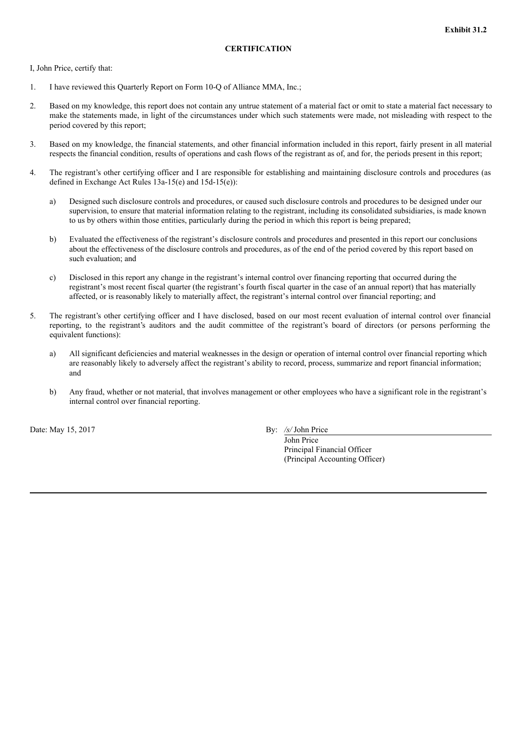## **CERTIFICATION**

I, John Price, certify that:

- 1. I have reviewed this Quarterly Report on Form 10-Q of Alliance MMA, Inc.;
- 2. Based on my knowledge, this report does not contain any untrue statement of a material fact or omit to state a material fact necessary to make the statements made, in light of the circumstances under which such statements were made, not misleading with respect to the period covered by this report;
- 3. Based on my knowledge, the financial statements, and other financial information included in this report, fairly present in all material respects the financial condition, results of operations and cash flows of the registrant as of, and for, the periods present in this report;
- 4. The registrant's other certifying officer and I are responsible for establishing and maintaining disclosure controls and procedures (as defined in Exchange Act Rules 13a-15(e) and 15d-15(e)):
	- a) Designed such disclosure controls and procedures, or caused such disclosure controls and procedures to be designed under our supervision, to ensure that material information relating to the registrant, including its consolidated subsidiaries, is made known to us by others within those entities, particularly during the period in which this report is being prepared;
	- b) Evaluated the effectiveness of the registrant's disclosure controls and procedures and presented in this report our conclusions about the effectiveness of the disclosure controls and procedures, as of the end of the period covered by this report based on such evaluation; and
	- c) Disclosed in this report any change in the registrant's internal control over financing reporting that occurred during the registrant's most recent fiscal quarter (the registrant's fourth fiscal quarter in the case of an annual report) that has materially affected, or is reasonably likely to materially affect, the registrant's internal control over financial reporting; and
- 5. The registrant's other certifying officer and I have disclosed, based on our most recent evaluation of internal control over financial reporting, to the registrant's auditors and the audit committee of the registrant's board of directors (or persons performing the equivalent functions):
	- a) All significant deficiencies and material weaknesses in the design or operation of internal control over financial reporting which are reasonably likely to adversely affect the registrant's ability to record, process, summarize and report financial information; and
	- b) Any fraud, whether or not material, that involves management or other employees who have a significant role in the registrant's internal control over financial reporting.

Date: May 15, 2017 By: /s/John Price

John Price Principal Financial Officer (Principal Accounting Officer)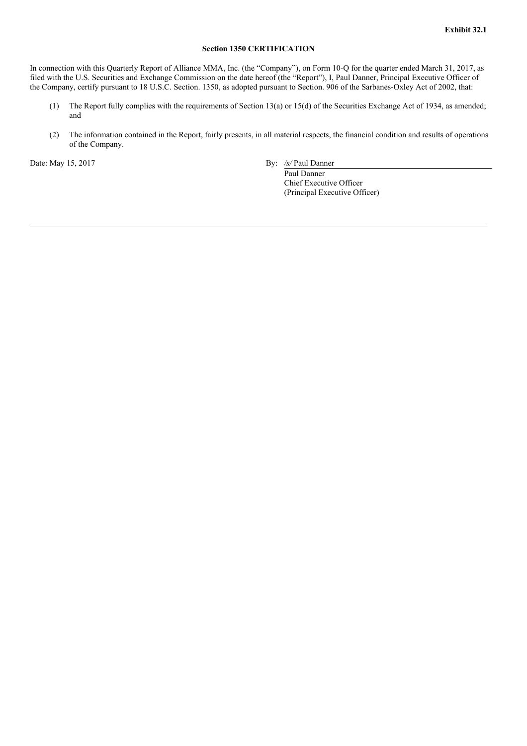#### **Section 1350 CERTIFICATION**

In connection with this Quarterly Report of Alliance MMA, Inc. (the "Company"), on Form 10-Q for the quarter ended March 31, 2017, as filed with the U.S. Securities and Exchange Commission on the date hereof (the "Report"), I, Paul Danner, Principal Executive Officer of the Company, certify pursuant to 18 U.S.C. Section. 1350, as adopted pursuant to Section. 906 of the Sarbanes-Oxley Act of 2002, that:

- (1) The Report fully complies with the requirements of Section 13(a) or 15(d) of the Securities Exchange Act of 1934, as amended; and
- (2) The information contained in the Report, fairly presents, in all material respects, the financial condition and results of operations of the Company.

Date: May 15, 2017 By: /s/Paul Danner

Paul Danner Chief Executive Officer (Principal Executive Officer)